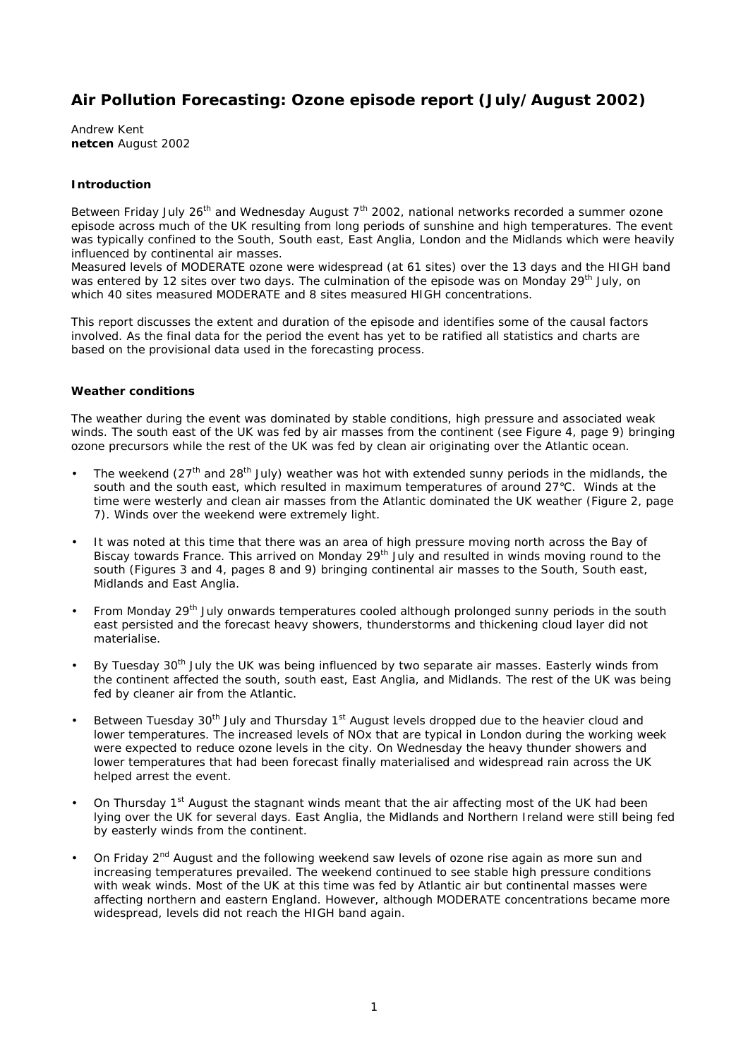# **Air Pollution Forecasting: Ozone episode report (July/August 2002)**

Andrew Kent **netcen** August 2002

# **Introduction**

Between Friday July 26<sup>th</sup> and Wednesday August 7<sup>th</sup> 2002, national networks recorded a summer ozone episode across much of the UK resulting from long periods of sunshine and high temperatures. The event was typically confined to the South, South east, East Anglia, London and the Midlands which were heavily influenced by continental air masses.

Measured levels of MODERATE ozone were widespread (at 61 sites) over the 13 days and the HIGH band was entered by 12 sites over two days. The culmination of the episode was on Monday 29<sup>th</sup> July, on which 40 sites measured MODERATE and 8 sites measured HIGH concentrations.

This report discusses the extent and duration of the episode and identifies some of the causal factors involved. As the final data for the period the event has yet to be ratified all statistics and charts are based on the provisional data used in the forecasting process.

#### **Weather conditions**

The weather during the event was dominated by stable conditions, high pressure and associated weak winds. The south east of the UK was fed by air masses from the continent (see Figure 4, page 9) bringing ozone precursors while the rest of the UK was fed by clean air originating over the Atlantic ocean.

- The weekend (27<sup>th</sup> and 28<sup>th</sup> July) weather was hot with extended sunny periods in the midlands, the south and the south east, which resulted in maximum temperatures of around 27°C. Winds at the time were westerly and clean air masses from the Atlantic dominated the UK weather (Figure 2, page 7). Winds over the weekend were extremely light.
- It was noted at this time that there was an area of high pressure moving north across the Bay of Biscay towards France. This arrived on Monday 29<sup>th</sup> July and resulted in winds moving round to the south (Figures 3 and 4, pages 8 and 9) bringing continental air masses to the South, South east, Midlands and East Anglia.
- From Monday 29<sup>th</sup> July onwards temperatures cooled although prolonged sunny periods in the south east persisted and the forecast heavy showers, thunderstorms and thickening cloud layer did not materialise.
- By Tuesday 30<sup>th</sup> July the UK was being influenced by two separate air masses. Easterly winds from the continent affected the south, south east, East Anglia, and Midlands. The rest of the UK was being fed by cleaner air from the Atlantic.
- Between Tuesday 30<sup>th</sup> July and Thursday 1<sup>st</sup> August levels dropped due to the heavier cloud and lower temperatures. The increased levels of NOx that are typical in London during the working week were expected to reduce ozone levels in the city. On Wednesday the heavy thunder showers and lower temperatures that had been forecast finally materialised and widespread rain across the UK helped arrest the event.
- On Thursday 1<sup>st</sup> August the stagnant winds meant that the air affecting most of the UK had been lying over the UK for several days. East Anglia, the Midlands and Northern Ireland were still being fed by easterly winds from the continent.
- On Friday 2<sup>nd</sup> August and the following weekend saw levels of ozone rise again as more sun and increasing temperatures prevailed. The weekend continued to see stable high pressure conditions with weak winds. Most of the UK at this time was fed by Atlantic air but continental masses were affecting northern and eastern England. However, although MODERATE concentrations became more widespread, levels did not reach the HIGH band again.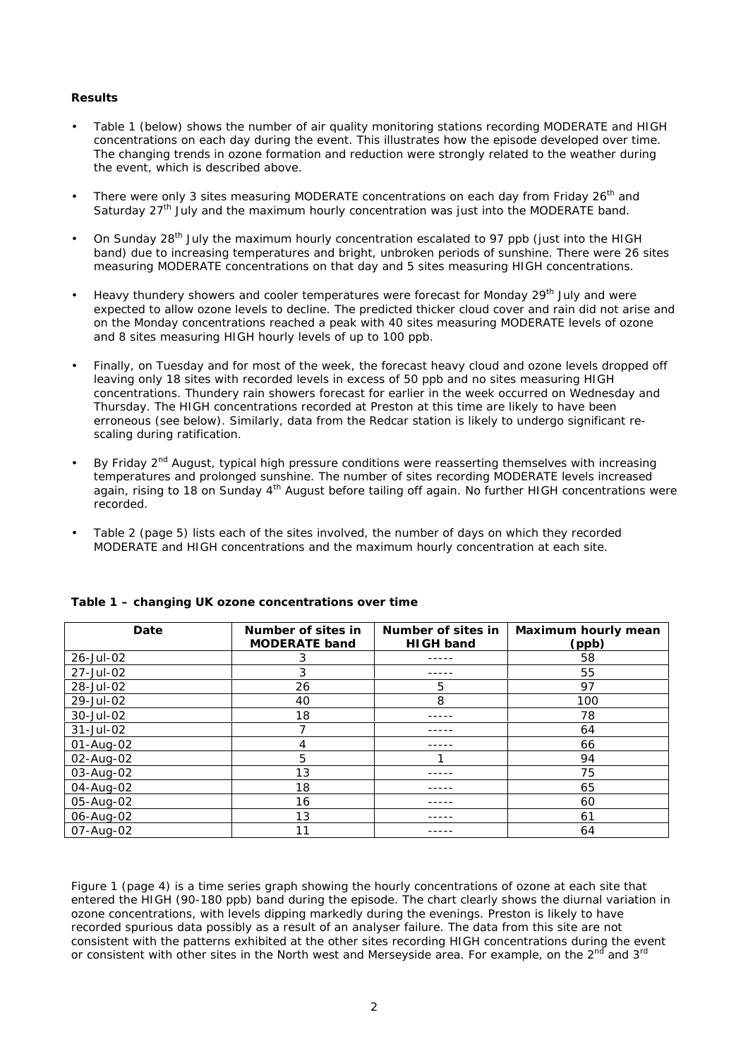# **Results**

- Table 1 (below) shows the number of air quality monitoring stations recording MODERATE and HIGH concentrations on each day during the event. This illustrates how the episode developed over time. The changing trends in ozone formation and reduction were strongly related to the weather during the event, which is described above.
- There were only 3 sites measuring MODERATE concentrations on each day from Friday 26<sup>th</sup> and Saturday 27<sup>th</sup> July and the maximum hourly concentration was just into the MODERATE band.
- On Sunday 28<sup>th</sup> July the maximum hourly concentration escalated to 97 ppb (just into the HIGH band) due to increasing temperatures and bright, unbroken periods of sunshine. There were 26 sites measuring MODERATE concentrations on that day and 5 sites measuring HIGH concentrations.
- Heavy thundery showers and cooler temperatures were forecast for Monday 29<sup>th</sup> July and were expected to allow ozone levels to decline. The predicted thicker cloud cover and rain did not arise and on the Monday concentrations reached a peak with 40 sites measuring MODERATE levels of ozone and 8 sites measuring HIGH hourly levels of up to 100 ppb.
- Finally, on Tuesday and for most of the week, the forecast heavy cloud and ozone levels dropped off leaving only 18 sites with recorded levels in excess of 50 ppb and no sites measuring HIGH concentrations. Thundery rain showers forecast for earlier in the week occurred on Wednesday and Thursday. The HIGH concentrations recorded at Preston at this time are likely to have been erroneous (see below). Similarly, data from the Redcar station is likely to undergo significant rescaling during ratification.
- By Friday 2<sup>nd</sup> August, typical high pressure conditions were reasserting themselves with increasing temperatures and prolonged sunshine. The number of sites recording MODERATE levels increased again, rising to 18 on Sunday 4th August before tailing off again. No further HIGH concentrations were recorded.
- Table 2 (page 5) lists each of the sites involved, the number of days on which they recorded MODERATE and HIGH concentrations and the maximum hourly concentration at each site.

| Date      | Number of sites in<br><b>MODERATE band</b> | Number of sites in<br><b>HIGH band</b> | <b>Maximum hourly mean</b><br>(ppb) |
|-----------|--------------------------------------------|----------------------------------------|-------------------------------------|
| 26-Jul-02 | 3                                          |                                        | 58                                  |
| 27-Jul-02 | 3                                          |                                        | 55                                  |
| 28-Jul-02 | 26                                         | 5                                      | 97                                  |
| 29-Jul-02 | 40                                         | 8                                      | 100                                 |
| 30-Jul-02 | 18                                         |                                        | 78                                  |
| 31-Jul-02 |                                            |                                        | 64                                  |
| 01-Aug-02 | 4                                          |                                        | 66                                  |
| 02-Aug-02 | 5                                          |                                        | 94                                  |
| 03-Aug-02 | 13                                         |                                        | 75                                  |
| 04-Aug-02 | 18                                         |                                        | 65                                  |
| 05-Aug-02 | 16                                         |                                        | 60                                  |
| 06-Aug-02 | 13                                         |                                        | 61                                  |
| 07-Aug-02 | 11                                         |                                        | 64                                  |

#### **Table 1 – changing UK ozone concentrations over time**

Figure 1 (page 4) is a time series graph showing the hourly concentrations of ozone at each site that entered the HIGH (90-180 ppb) band during the episode. The chart clearly shows the diurnal variation in ozone concentrations, with levels dipping markedly during the evenings. Preston is likely to have recorded spurious data possibly as a result of an analyser failure. The data from this site are not consistent with the patterns exhibited at the other sites recording HIGH concentrations during the event or consistent with other sites in the North west and Merseyside area. For example, on the  $2^{nd}$  and 3<sup>rd</sup>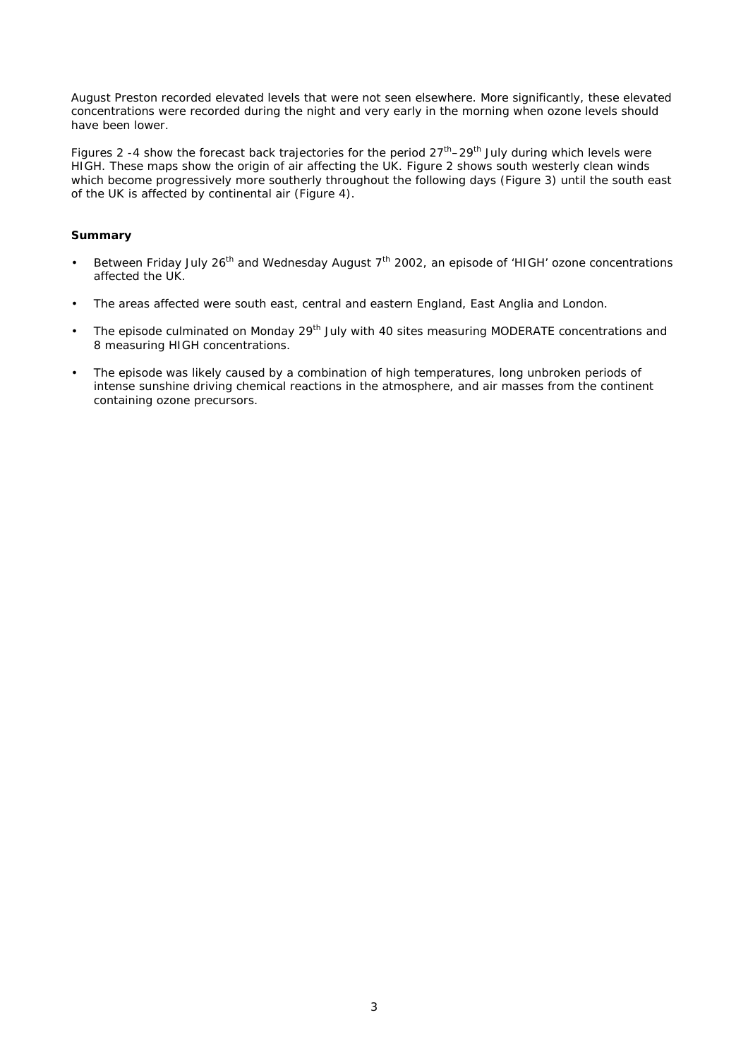August Preston recorded elevated levels that were not seen elsewhere. More significantly, these elevated concentrations were recorded during the night and very early in the morning when ozone levels should have been lower.

Figures 2 -4 show the forecast back trajectories for the period  $27<sup>th</sup>$ –29<sup>th</sup> July during which levels were HIGH. These maps show the origin of air affecting the UK. Figure 2 shows south westerly clean winds which become progressively more southerly throughout the following days (Figure 3) until the south east of the UK is affected by continental air (Figure 4).

# **Summary**

- Between Friday July 26<sup>th</sup> and Wednesday August  $7<sup>th</sup>$  2002, an episode of 'HIGH' ozone concentrations affected the UK.
- The areas affected were south east, central and eastern England, East Anglia and London.
- The episode culminated on Monday 29<sup>th</sup> July with 40 sites measuring MODERATE concentrations and 8 measuring HIGH concentrations.
- The episode was likely caused by a combination of high temperatures, long unbroken periods of intense sunshine driving chemical reactions in the atmosphere, and air masses from the continent containing ozone precursors.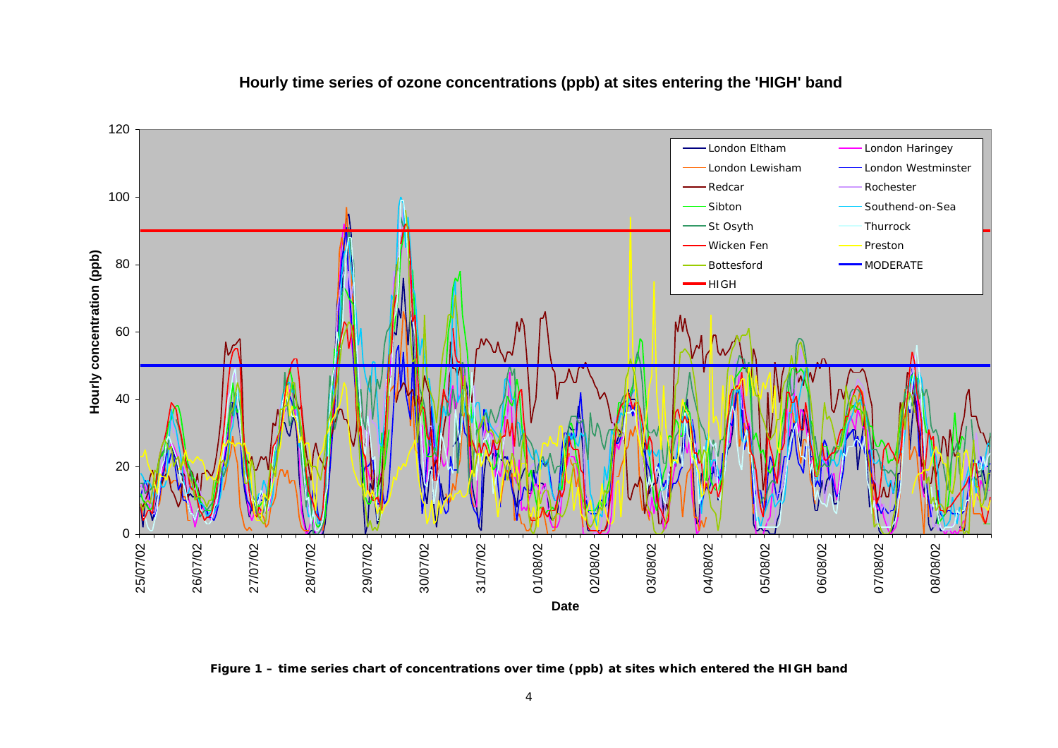

# **Hourly time series of ozone concentrations (ppb) at sites entering the 'HIGH' band**

**Figure 1 – time series chart of concentrations over time (ppb) at sites which entered the HIGH band**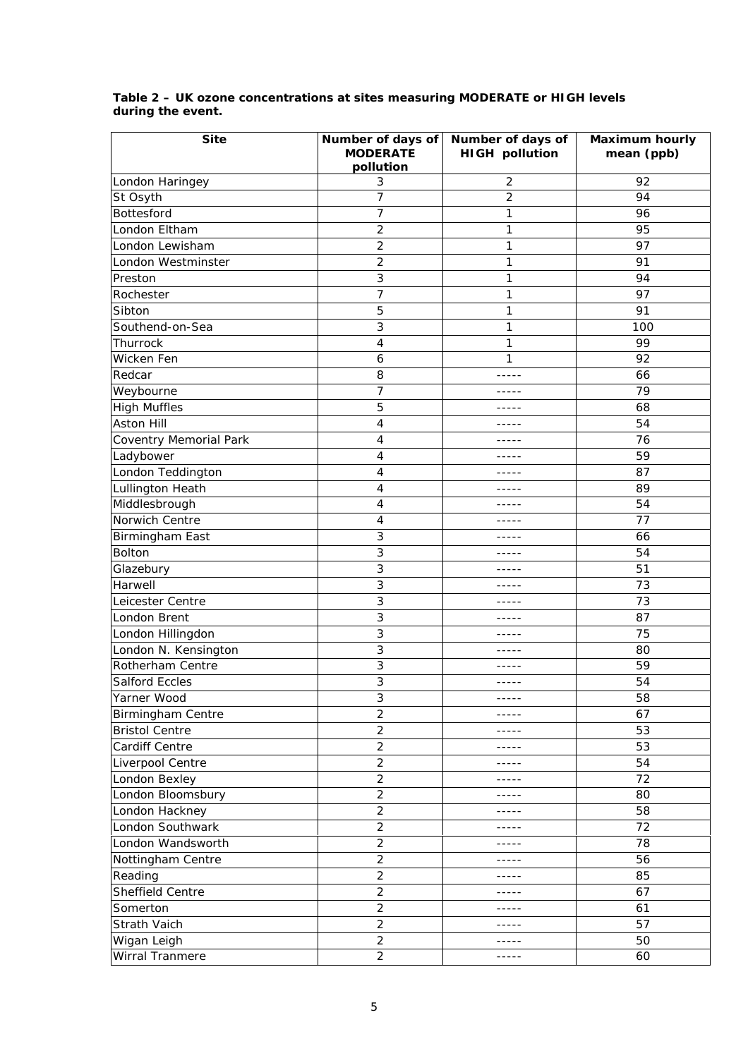| <b>Site</b>            | Number of days of<br><b>MODERATE</b><br>pollution | Number of days of<br><b>HIGH pollution</b> | <b>Maximum hourly</b><br>mean (ppb) |
|------------------------|---------------------------------------------------|--------------------------------------------|-------------------------------------|
| London Haringey        | 3                                                 | 2                                          | 92                                  |
| St Osyth               | 7                                                 | $\overline{2}$                             | 94                                  |
| Bottesford             | 7                                                 | 1                                          | 96                                  |
| London Eltham          | $\overline{2}$                                    | 1                                          | 95                                  |
| London Lewisham        | 2                                                 | 1                                          | 97                                  |
| London Westminster     | 2                                                 | 1                                          | 91                                  |
| Preston                | 3                                                 | 1                                          | 94                                  |
| Rochester              | 7                                                 | 1                                          | 97                                  |
| Sibton                 | 5                                                 | 1                                          | 91                                  |
| Southend-on-Sea        | 3                                                 | 1                                          | 100                                 |
| Thurrock               | 4                                                 | 1                                          | 99                                  |
| Wicken Fen             | 6                                                 | 1                                          | 92                                  |
| Redcar                 | 8                                                 | -----                                      | 66                                  |
| Weybourne              | 7                                                 | -----                                      | 79                                  |
| <b>High Muffles</b>    | 5                                                 | -----                                      | 68                                  |
| <b>Aston Hill</b>      | 4                                                 |                                            | 54                                  |
| Coventry Memorial Park | 4                                                 | -----                                      | 76                                  |
| Ladybower              | 4                                                 | -----                                      | 59                                  |
| London Teddington      | 4                                                 | -----                                      | 87                                  |
| Lullington Heath       | 4                                                 | -----                                      | 89                                  |
| Middlesbrough          | 4                                                 | -----                                      | 54                                  |
| Norwich Centre         | 4                                                 | -----                                      | 77                                  |
| Birmingham East        | 3                                                 |                                            | 66                                  |
| Bolton                 | 3                                                 | $- - - - -$                                | 54                                  |
| Glazebury              | 3                                                 | -----                                      | 51                                  |
| Harwell                | 3                                                 | -----                                      | 73                                  |
| Leicester Centre       | 3                                                 | -----                                      | 73                                  |
| London Brent           | 3                                                 | -----                                      | 87                                  |
| London Hillingdon      | 3                                                 | -----                                      | 75                                  |
| London N. Kensington   | 3                                                 |                                            | 80                                  |
| Rotherham Centre       | 3                                                 | -----                                      | 59                                  |
| <b>Salford Eccles</b>  | 3                                                 | -----                                      | 54                                  |
| Yarner Wood            | 3                                                 | $- - - - -$                                | 58                                  |
| Birmingham Centre      | $\overline{2}$                                    | -----                                      | 67                                  |
| <b>Bristol Centre</b>  | $\overline{2}$                                    | -----                                      | 53                                  |
| Cardiff Centre         | $\overline{2}$                                    | -----                                      | 53                                  |
| Liverpool Centre       | $\overline{c}$                                    | -----                                      | 54                                  |
| London Bexley          | $\overline{2}$                                    | -----                                      | 72                                  |
| London Bloomsbury      | $\overline{2}$                                    | -----                                      | 80                                  |
| London Hackney         | $\overline{c}$                                    | -----                                      | 58                                  |
| London Southwark       | $\overline{c}$                                    | -----                                      | 72                                  |
| London Wandsworth      | $\overline{2}$                                    | -----                                      | 78                                  |
| Nottingham Centre      | $\overline{2}$                                    | -----                                      | 56                                  |
| Reading                | $\overline{2}$                                    | -----                                      | 85                                  |
| Sheffield Centre       | $\overline{2}$                                    | -----                                      | 67                                  |
| Somerton               | $\overline{2}$                                    | $- - - - -$                                | 61                                  |
| Strath Vaich           | $\overline{c}$                                    | $- - - - -$                                | 57                                  |
| Wigan Leigh            | $\overline{2}$                                    | -----                                      | 50                                  |
| Wirral Tranmere        | $\overline{2}$                                    | -----                                      | 60                                  |

#### **Table 2 – UK ozone concentrations at sites measuring MODERATE or HIGH levels during the event.**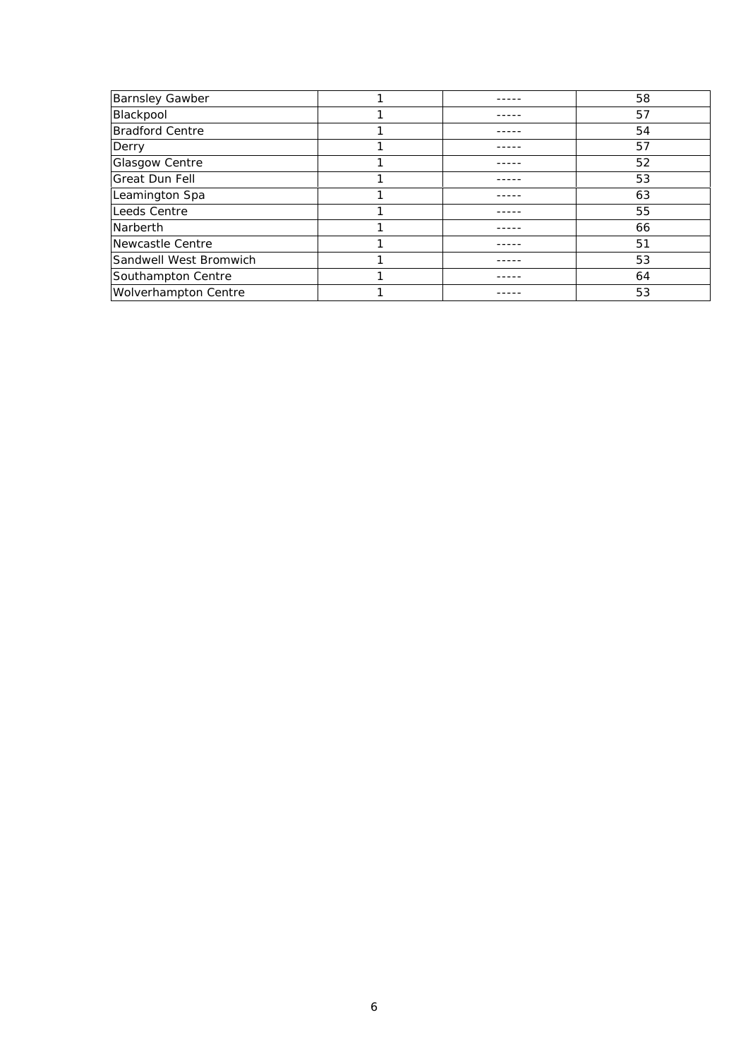| <b>Barnsley Gawber</b>      |  | 58 |
|-----------------------------|--|----|
| Blackpool                   |  | 57 |
| <b>Bradford Centre</b>      |  | 54 |
| Derry                       |  | 57 |
| <b>Glasgow Centre</b>       |  | 52 |
| <b>Great Dun Fell</b>       |  | 53 |
| Leamington Spa              |  | 63 |
| Leeds Centre                |  | 55 |
| Narberth                    |  | 66 |
| Newcastle Centre            |  | 51 |
| Sandwell West Bromwich      |  | 53 |
| Southampton Centre          |  | 64 |
| <b>Wolverhampton Centre</b> |  | 53 |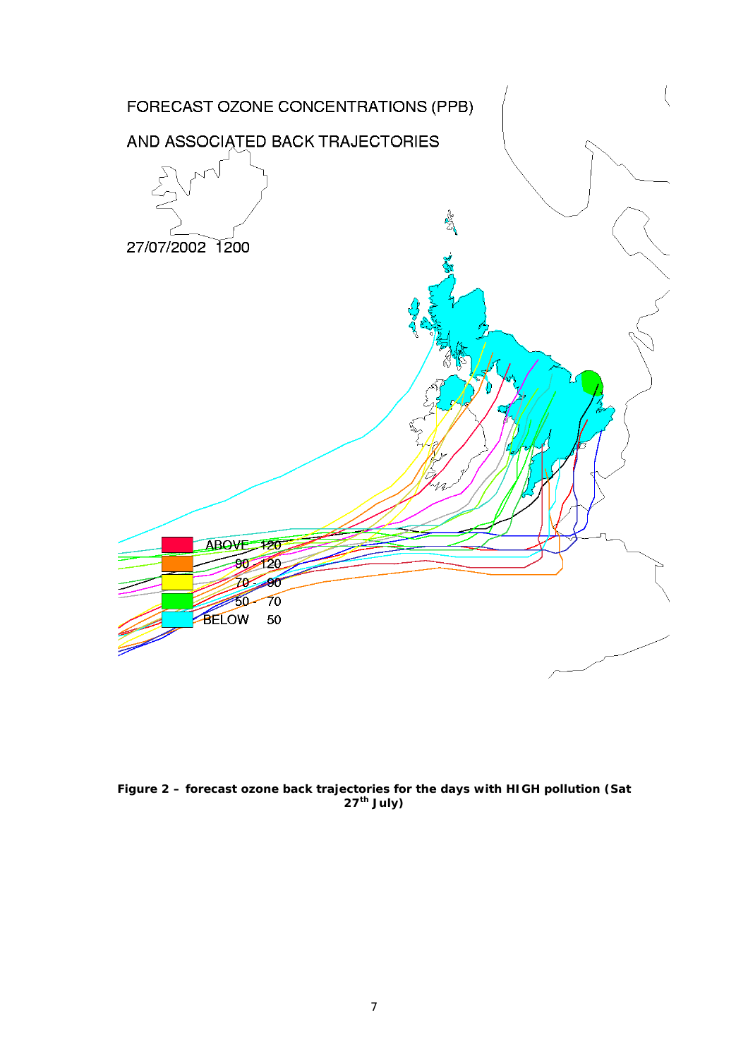

**Figure 2 – forecast ozone back trajectories for the days with HIGH pollution (Sat th July)**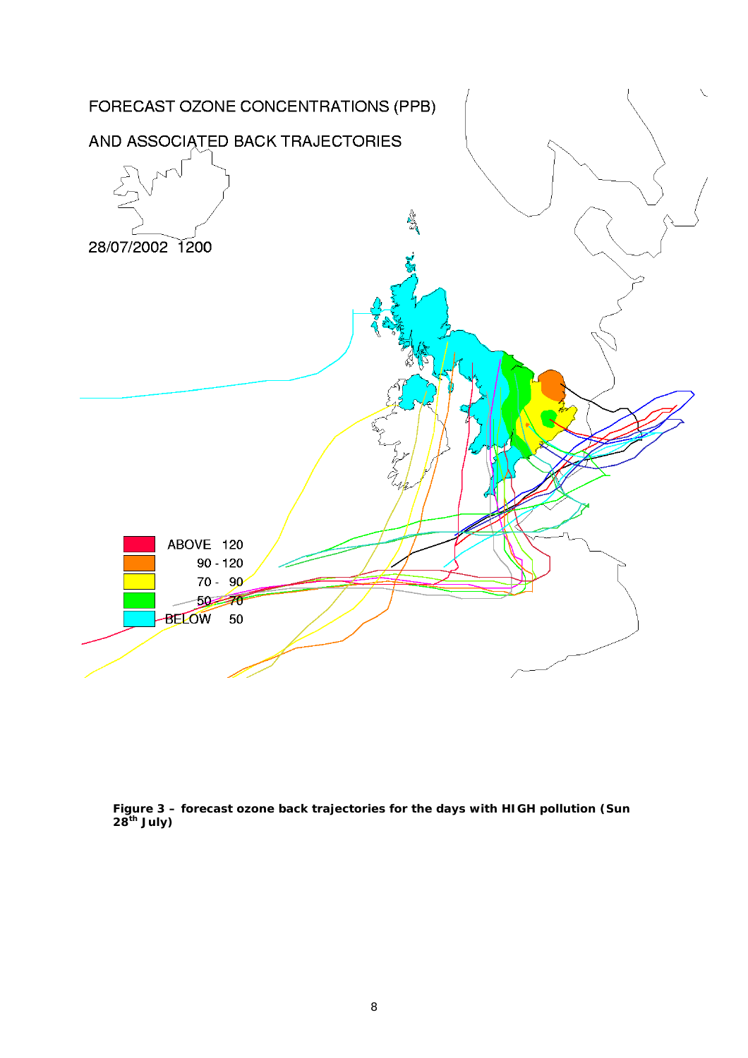